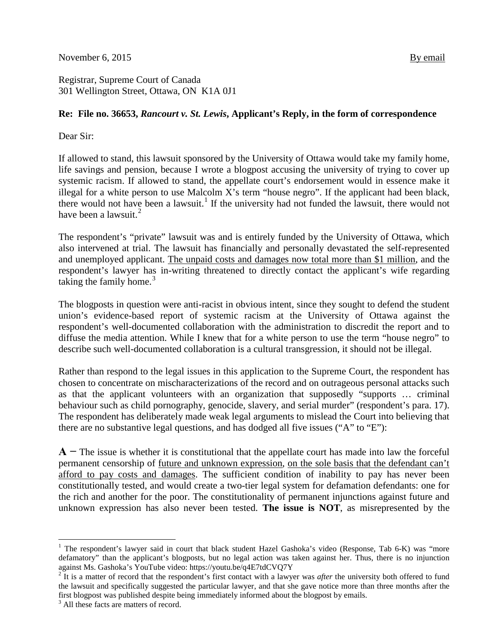November 6, 2015  $\frac{By \text{ email}}{By \text{equal}}$ 

Registrar, Supreme Court of Canada 301 Wellington Street, Ottawa, ON K1A 0J1

## **Re: File no. 36653,** *Rancourt v. St. Lewis***, Applicant's Reply, in the form of correspondence**

Dear Sir:

If allowed to stand, this lawsuit sponsored by the University of Ottawa would take my family home, life savings and pension, because I wrote a blogpost accusing the university of trying to cover up systemic racism. If allowed to stand, the appellate court's endorsement would in essence make it illegal for a white person to use Malcolm X's term "house negro". If the applicant had been black, there would not have been a lawsuit.<sup>[1](#page-0-0)</sup> If the university had not funded the lawsuit, there would not have been a lawsuit. $<sup>2</sup>$  $<sup>2</sup>$  $<sup>2</sup>$ </sup>

The respondent's "private" lawsuit was and is entirely funded by the University of Ottawa, which also intervened at trial. The lawsuit has financially and personally devastated the self-represented and unemployed applicant. The unpaid costs and damages now total more than \$1 million, and the respondent's lawyer has in-writing threatened to directly contact the applicant's wife regarding taking the family home. $3$ 

The blogposts in question were anti-racist in obvious intent, since they sought to defend the student union's evidence-based report of systemic racism at the University of Ottawa against the respondent's well-documented collaboration with the administration to discredit the report and to diffuse the media attention. While I knew that for a white person to use the term "house negro" to describe such well-documented collaboration is a cultural transgression, it should not be illegal.

Rather than respond to the legal issues in this application to the Supreme Court, the respondent has chosen to concentrate on mischaracterizations of the record and on outrageous personal attacks such as that the applicant volunteers with an organization that supposedly "supports … criminal behaviour such as child pornography, genocide, slavery, and serial murder" (respondent's para. 17). The respondent has deliberately made weak legal arguments to mislead the Court into believing that there are no substantive legal questions, and has dodged all five issues ("A" to "E"):

**A −** The issue is whether it is constitutional that the appellate court has made into law the forceful permanent censorship of future and unknown expression, on the sole basis that the defendant can't afford to pay costs and damages. The sufficient condition of inability to pay has never been constitutionally tested, and would create a two-tier legal system for defamation defendants: one for the rich and another for the poor. The constitutionality of permanent injunctions against future and unknown expression has also never been tested. **The issue is NOT**, as misrepresented by the

<span id="page-0-0"></span><sup>&</sup>lt;sup>1</sup> The respondent's lawyer said in court that black student Hazel Gashoka's video (Response, Tab 6-K) was "more defamatory" than the applicant's blogposts, but no legal action was taken against her. Thus, there is no injunction against Ms. Gashoka's YouTube video: https://youtu.be/q4E7tdCVQ7Y

<span id="page-0-1"></span><sup>&</sup>lt;sup>2</sup> It is a matter of record that the respondent's first contact with a lawyer was *after* the university both offered to fund the lawsuit and specifically suggested the particular lawyer, and that she gave notice more than three months after the first blogpost was published despite being immediately informed about the blogpost by emails. <sup>3</sup> All these facts are matters of record.

<span id="page-0-2"></span>